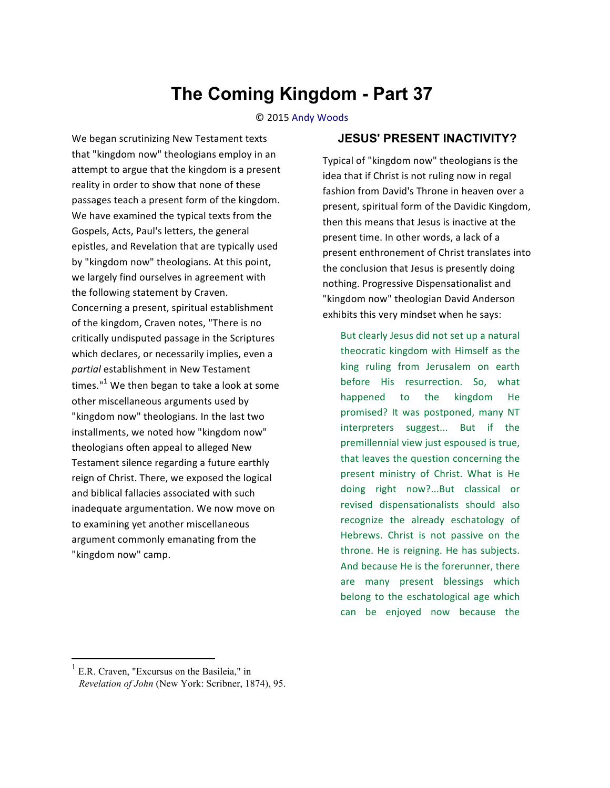## **The Coming Kingdom - Part 37**

© 
 2015 Andy 
 Woods

We began scrutinizing New Testament texts that "kingdom now" theologians employ in an attempt to argue that the kingdom is a present reality in order to show that none of these passages teach a present form of the kingdom. We have examined the typical texts from the Gospels, Acts, Paul's letters, the general epistles, and Revelation that are typically used by "kingdom now" theologians. At this point, we largely find ourselves in agreement with the following statement by Craven. Concerning a present, spiritual establishment of the kingdom, Craven notes, "There is no critically undisputed passage in the Scriptures which declares, or necessarily implies, even a partial establishment in New Testament times." $1$  We then began to take a look at some other miscellaneous arguments used by "kingdom now" theologians. In the last two installments, we noted how "kingdom now" theologians often appeal to alleged New Testament silence regarding a future earthly reign of Christ. There, we exposed the logical and biblical fallacies associated with such inadequate argumentation. We now move on to examining yet another miscellaneous argument commonly emanating from the "kingdom now" camp.

## **JESUS' PRESENT INACTIVITY?**

Typical of "kingdom now" theologians is the idea that if Christ is not ruling now in regal fashion from David's Throne in heaven over a present, spiritual form of the Davidic Kingdom, then this means that Jesus is inactive at the present time. In other words, a lack of a present enthronement of Christ translates into the conclusion that Jesus is presently doing nothing. Progressive Dispensationalist and "kingdom now" theologian David Anderson exhibits this very mindset when he says:

But clearly Jesus did not set up a natural theocratic kingdom with Himself as the king ruling from Jerusalem on earth before His resurrection. So, what happened to the kingdom He promised? It was postponed, many NT interpreters suggest... But if the premillennial view just espoused is true, that leaves the question concerning the present ministry of Christ. What is He doing right now?...But classical or revised dispensationalists should also recognize the already eschatology of Hebrews. Christ is not passive on the throne. He is reigning. He has subjects. And because He is the forerunner, there are many present blessings which belong to the eschatological age which can be enjoyed now because the

<sup>1</sup> E.R. Craven, "Excursus on the Basileia," in *Revelation of John* (New York: Scribner, 1874), 95.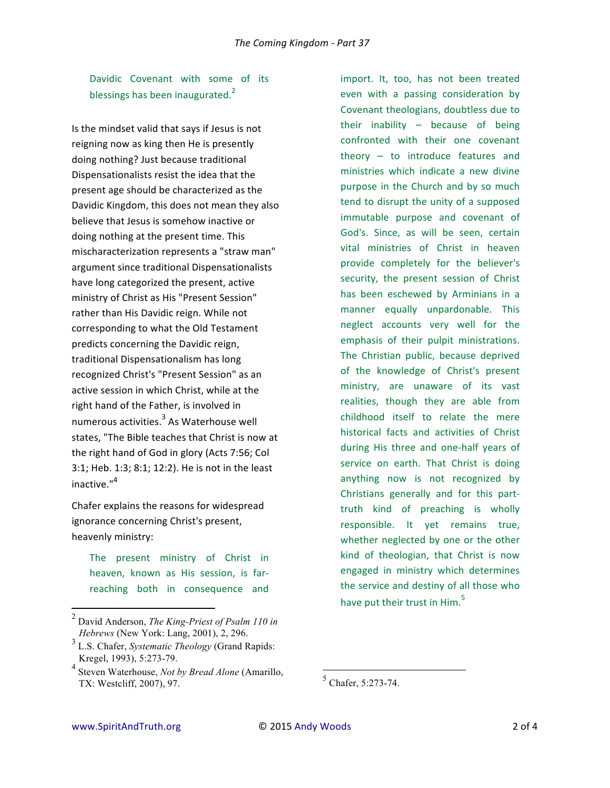Davidic Covenant with some of its blessings has been inaugurated. $<sup>2</sup>$ </sup>

Is the mindset valid that says if Jesus is not reigning now as king then He is presently doing nothing? Just because traditional Dispensationalists resist the idea that the present age should be characterized as the Davidic Kingdom, this does not mean they also believe that Jesus is somehow inactive or doing nothing at the present time. This mischaracterization represents a "straw man" argument since traditional Dispensationalists have long categorized the present, active ministry of Christ as His "Present Session" rather than His Davidic reign. While not corresponding to what the Old Testament predicts concerning the Davidic reign, traditional Dispensationalism has long recognized Christ's "Present Session" as an active session in which Christ, while at the right hand of the Father, is involved in numerous activities.<sup>3</sup> As Waterhouse well states, "The Bible teaches that Christ is now at the right hand of God in glory (Acts 7:56; Col  $3:1$ ; Heb.  $1:3$ ;  $8:1$ ;  $12:2$ ). He is not in the least inactive."<sup>4</sup>

Chafer explains the reasons for widespread ignorance concerning Christ's present, heavenly ministry:

The present ministry of Christ in heaven, known as His session, is farreaching both in consequence and

<u> 1989 - Johann Stein, markin film yn y breninn y breninn y breninn y breninn y breninn y breninn y breninn y b</u>

import. It, too, has not been treated even with a passing consideration by Covenant theologians, doubtless due to their inability  $-$  because of being confronted with their one covenant theory  $-$  to introduce features and ministries which indicate a new divine purpose in the Church and by so much tend to disrupt the unity of a supposed immutable purpose and covenant of God's. Since, as will be seen, certain vital ministries of Christ in heaven provide completely for the believer's security, the present session of Christ has been eschewed by Arminians in a manner equally unpardonable. This neglect accounts very well for the emphasis of their pulpit ministrations. The Christian public, because deprived of the knowledge of Christ's present ministry, are unaware of its vast realities, though they are able from childhood itself to relate the mere historical facts and activities of Christ during His three and one-half years of service on earth. That Christ is doing anything now is not recognized by Christians generally and for this parttruth kind of preaching is wholly responsible. It yet remains true, whether neglected by one or the other kind of theologian, that Christ is now engaged in ministry which determines the service and destiny of all those who have put their trust in  $H$ im.<sup>5</sup>

<u> 1989 - Jan Samuel Barbara, margaret e</u>

<sup>2</sup> David Anderson, *The King-Priest of Psalm 110 in Hebrews* (New York: Lang, 2001), 2, 296.

<sup>3</sup> L.S. Chafer, *Systematic Theology* (Grand Rapids: Kregel, 1993), 5:273-79.

<sup>4</sup> Steven Waterhouse, *Not by Bread Alone* (Amarillo, TX: Westcliff, 2007), 97.

<sup>5</sup> Chafer, 5:273-74.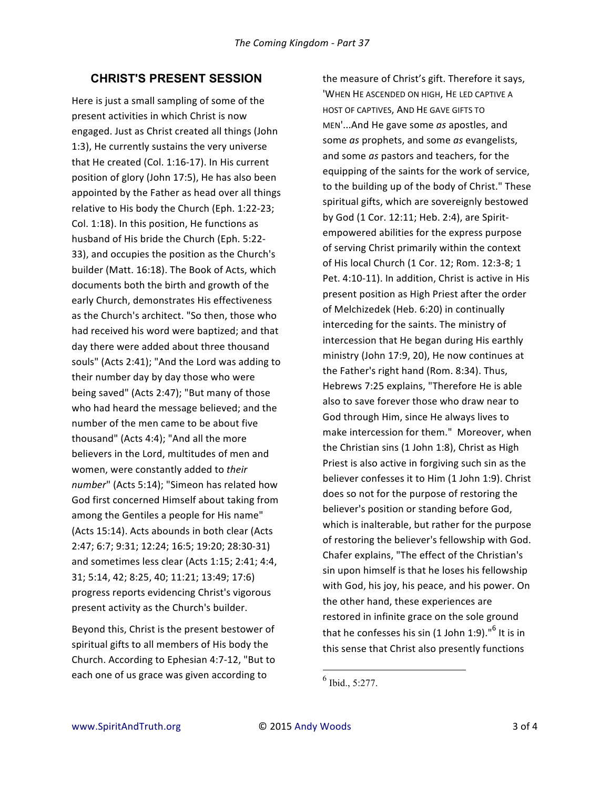## **CHRIST'S PRESENT SESSION**

Here is just a small sampling of some of the present activities in which Christ is now engaged. Just as Christ created all things (John 1:3), He currently sustains the very universe that He created (Col.  $1:16-17$ ). In His current position of glory (John 17:5), He has also been appointed by the Father as head over all things relative to His body the Church (Eph. 1:22-23; Col. 1:18). In this position, He functions as husband of His bride the Church (Eph. 5:22-33), and occupies the position as the Church's builder (Matt. 16:18). The Book of Acts, which documents both the birth and growth of the early Church, demonstrates His effectiveness as the Church's architect. "So then, those who had received his word were baptized; and that day there were added about three thousand souls" (Acts 2:41); "And the Lord was adding to their number day by day those who were being saved" (Acts 2:47); "But many of those who had heard the message believed; and the number of the men came to be about five thousand" (Acts 4:4); "And all the more believers in the Lord, multitudes of men and women, were constantly added to their number" (Acts 5:14); "Simeon has related how God first concerned Himself about taking from among the Gentiles a people for His name" (Acts 15:14). Acts abounds in both clear (Acts) 2:47; 6:7; 9:31; 12:24; 16:5; 19:20; 28:30-31) and sometimes less clear (Acts 1:15; 2:41; 4:4, 31; 5:14, 42; 8:25, 40; 11:21; 13:49; 17:6) progress reports evidencing Christ's vigorous present activity as the Church's builder.

Beyond this, Christ is the present bestower of spiritual gifts to all members of His body the Church. According to Ephesian 4:7-12, "But to each one of us grace was given according to

the measure of Christ's gift. Therefore it says, 'WHEN HE ASCENDED ON HIGH, HE LED CAPTIVE A HOST OF CAPTIVES, AND HE GAVE GIFTS TO MEN'...And He gave some as apostles, and some *as* prophets, and some *as* evangelists, and some *as* pastors and teachers, for the equipping of the saints for the work of service, to the building up of the body of Christ." These spiritual gifts, which are sovereignly bestowed by God (1 Cor. 12:11; Heb. 2:4), are Spiritempowered abilities for the express purpose of serving Christ primarily within the context of His local Church (1 Cor. 12; Rom. 12:3-8; 1 Pet. 4:10-11). In addition, Christ is active in His present position as High Priest after the order of Melchizedek (Heb. 6:20) in continually interceding for the saints. The ministry of intercession that He began during His earthly ministry (John 17:9, 20), He now continues at the Father's right hand (Rom. 8:34). Thus, Hebrews 7:25 explains, "Therefore He is able also to save forever those who draw near to God through Him, since He always lives to make intercession for them." Moreover, when the Christian sins  $(1$  John 1:8), Christ as High Priest is also active in forgiving such sin as the believer confesses it to Him (1 John 1:9). Christ does so not for the purpose of restoring the believer's position or standing before God, which is inalterable, but rather for the purpose of restoring the believer's fellowship with God. Chafer explains, "The effect of the Christian's sin upon himself is that he loses his fellowship with God, his joy, his peace, and his power. On the other hand, these experiences are restored in infinite grace on the sole ground that he confesses his sin (1 John 1:9)." $^6$  It is in this sense that Christ also presently functions

<u> 1989 - Jan Samuel Barbara, margaret e</u>

 $<sup>6</sup>$  Ibid., 5:277.</sup>